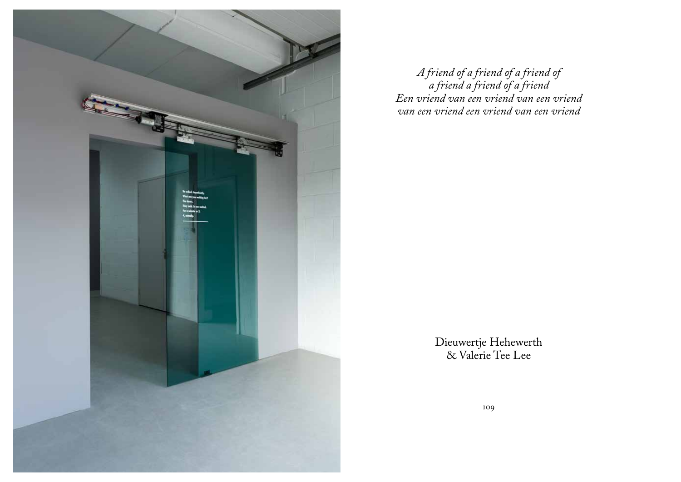

*A friend of a friend of a friend of a friend a friend of a friend Een vriend van een vriend van een vriend van een vriend een vriend van een vriend*

> Dieuwertje Hehewerth & Valerie Tee Lee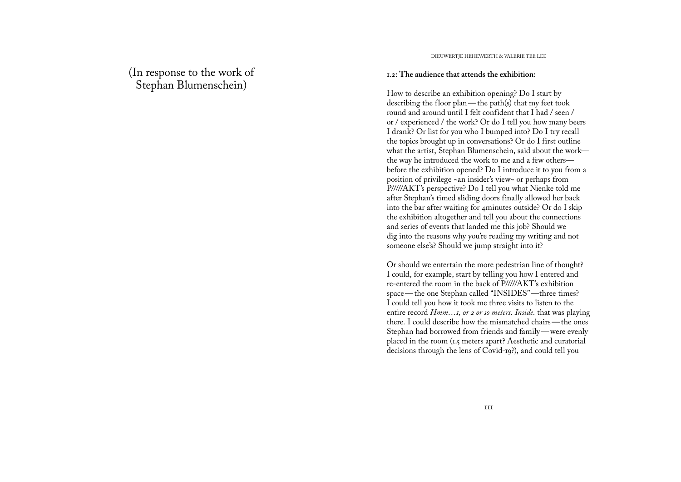(In response to the work of Stephan Blumenschein)

DIEUWERTJE HEHEWERTH & VALERIE TEE LEE

#### **1.2: The audience that attends the exhibition:**

How to describe an exhibition opening? Do I start by describing the floor plan—the path(s) that my feet took round and around until I felt confident that I had / seen / or / experienced / the work? Or do I tell you how many beers I drank? Or list for you who I bumped into? Do I try recall the topics brought up in conversations? Or do I first outline what the artist, Stephan Blumenschein, said about the work the way he introduced the work to me and a few others before the exhibition opened? Do I introduce it to you from a position of privilege ~an insider's view~ or perhaps from P/////AKT's perspective? Do I tell you what Nienke told me after Stephan's timed sliding doors finally allowed her back into the bar after waiting for 4minutes outside? Or do I skip the exhibition altogether and tell you about the connections and series of events that landed me this job? Should we dig into the reasons why you're reading my writing and not someone else's? Should we jump straight into it?

Or should we entertain the more pedestrian line of thought? I could, for example, start by telling you how I entered and re-entered the room in the back of P/////AKT's exhibition space—the one Stephan called "INSIDES"—three times? I could tell you how it took me three visits to listen to the entire record *Hmm…1, or 2 or so meters. Inside.* that was playing there*.* I could describe how the mismatched chairs—the ones Stephan had borrowed from friends and family—were evenly placed in the room (1.5 meters apart? Aesthetic and curatorial decisions through the lens of Covid-19?), and could tell you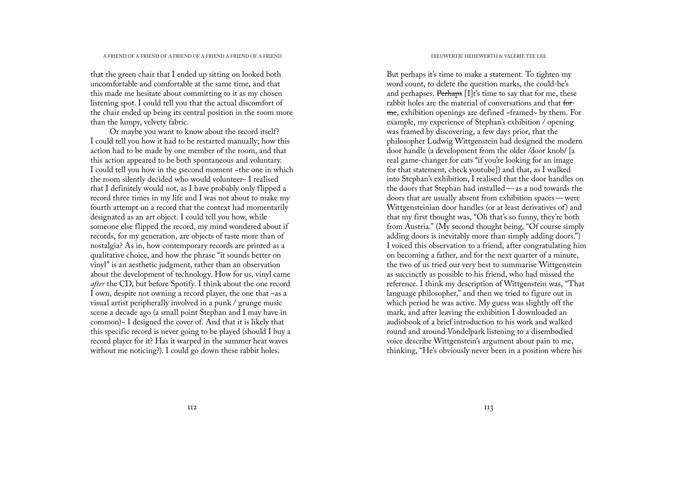that the green chair that I ended up sitting on looked both uncomfortable and comfortable at the same time, and that this made me hesitate about committing to it as my chosen listening spot. I could tell you that the actual discomfort of the chair ended up being its central position in the room more than the lumpy, velvety fabric.

Or maybe you want to know about the record itself? I could tell you how it had to be restarted manually; how this action had to be made by one member of the room, and that this action appeared to be both spontaneous and voluntary. I could tell you how in the 5second moment ~the one in which the room silently decided who would volunteer~ I realised that I definitely would not, as I have probably only flipped a record three times in my life and I was not about to make my fourth attempt on a record that the context had momentarily designated as an art object. I could tell you how, while someone else flipped the record, my mind wondered about if records, for my generation, are objects of taste more than of nostalgia? As in, how contemporary records are printed as a qualitative choice, and how the phrase "it sounds better on vinyl" is an aesthetic judgment, rather than an observation about the development of technology. How for us, vinyl came *after* the CD, but before Spotify. I think about the one record I own, despite not owning a record player, the one that ~as a visual artist peripherally involved in a punk / grunge music scene a decade ago (a small point Stephan and I may have in common)~ I designed the cover of. And that it is likely that this specific record is never going to be played (should I buy a record player for it? Has it warped in the summer heat waves without me noticing?). I could go down these rabbit holes.

But perhaps it's time to make a statement. To tighten my word count, to delete the question marks, the could-be's and perhapses. Perhaps [I]t's time to say that for me, these rabbit holes are the material of conversations and that for me, exhibition openings are defined ~framed~ by them. For example, my experience of Stephan's exhibition / opening was framed by discovering, a few days prior, that the philosopher Ludwig Wittgenstein had designed the modern door handle (a development from the older /door knob/ [a real game-changer for cats \*if you're looking for an image for that statement, check youtube]) and that, as I walked into Stephan's exhibition, I realised that the door handles on the doors that Stephan had installed—as a nod towards the doors that are usually absent from exhibition spaces—were Wittgensteinian door handles (or at least derivatives of) and that my first thought was, "Oh that's so funny, they're both from Austria." (My second thought being, "Of course simply adding doors is inevitably more than simply adding doors.") I voiced this observation to a friend, after congratulating him on becoming a father, and for the next quarter of a minute, the two of us tried our very best to summarise Wittgenstein as succinctly as possible to his friend, who had missed the reference. I think my description of Wittgenstein was, "That language philosopher," and then we tried to figure out in which period he was active. My guess was slightly off the mark, and after leaving the exhibition I downloaded an audiobook of a brief introduction to his work and walked round and around Vondelpark listening to a disembodied voice describe Wittgenstein's argument about pain to me, thinking, "He's obviously never been in a position where his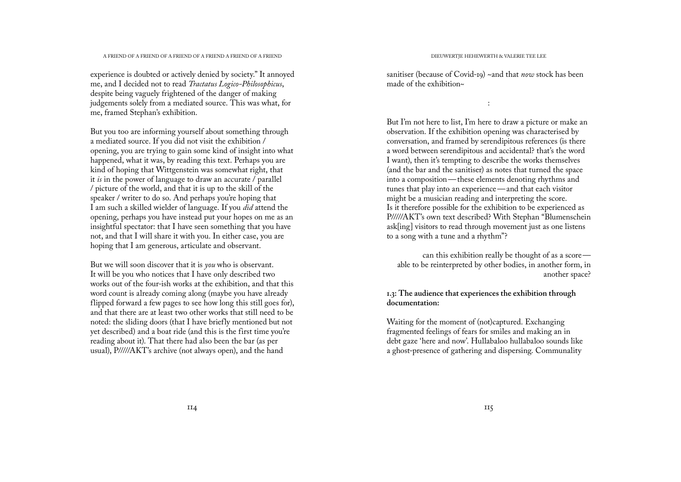experience is doubted or actively denied by society." It annoyed me, and I decided not to read *Tractatus Logico-Philosophicus*, despite being vaguely frightened of the danger of making judgements solely from a mediated source. This was what, for me, framed Stephan's exhibition.

But you too are informing yourself about something through a mediated source. If you did not visit the exhibition / opening, you are trying to gain some kind of insight into what happened, what it was, by reading this text. Perhaps you are kind of hoping that Wittgenstein was somewhat right, that it *is* in the power of language to draw an accurate / parallel / picture of the world, and that it is up to the skill of the speaker / writer to do so. And perhaps you're hoping that I am such a skilled wielder of language. If you *did* attend the opening, perhaps you have instead put your hopes on me as an insightful spectator: that I have seen something that you have not, and that I will share it with you. In either case, you are hoping that I am generous, articulate and observant.

But we will soon discover that it is *you* who is observant. It will be you who notices that I have only described two works out of the four-ish works at the exhibition, and that this word count is already coming along (maybe you have already flipped forward a few pages to see how long this still goes for), and that there are at least two other works that still need to be noted: the sliding doors (that I have briefly mentioned but not yet described) and a boat ride (and this is the first time you're reading about it). That there had also been the bar (as per usual), P/////AKT's archive (not always open), and the hand

sanitiser (because of Covid-19) ~and that *now* stock has been made of the exhibition~

:

But I'm not here to list, I'm here to draw a picture or make an observation. If the exhibition opening was characterised by conversation, and framed by serendipitous references (is there a word between serendipitous and accidental? that's the word I want), then it's tempting to describe the works themselves (and the bar and the sanitiser) as notes that turned the space into a composition—these elements denoting rhythms and tunes that play into an experience—and that each visitor might be a musician reading and interpreting the score. Is it therefore possible for the exhibition to be experienced as P/////AKT's own text described? With Stephan "Blumenschein ask[ing] visitors to read through movement just as one listens to a song with a tune and a rhythm"?

can this exhibition really be thought of as a score able to be reinterpreted by other bodies, in another form, in another space?

# **1.3: The audience that experiences the exhibition through documentation:**

Waiting for the moment of (not)captured. Exchanging fragmented feelings of fears for smiles and making an in debt gaze 'here and now'. Hullabaloo hullabaloo sounds like a ghost-presence of gathering and dispersing. Communality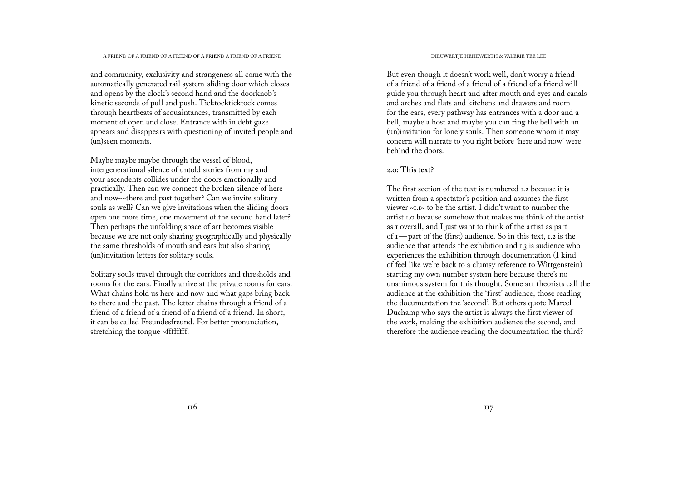and community, exclusivity and strangeness all come with the automatically generated rail system-sliding door which closes and opens by the clock's second hand and the doorknob's kinetic seconds of pull and push. Ticktockticktock comes through heartbeats of acquaintances, transmitted by each moment of open and close. Entrance with in debt gaze appears and disappears with questioning of invited people and (un)seen moments.

Maybe maybe maybe through the vessel of blood, intergenerational silence of untold stories from my and your ascendents collides under the doors emotionally and practically. Then can we connect the broken silence of here and now~~there and past together? Can we invite solitary souls as well? Can we give invitations when the sliding doors open one more time, one movement of the second hand later? Then perhaps the unfolding space of art becomes visible because we are not only sharing geographically and physically the same thresholds of mouth and ears but also sharing (un)invitation letters for solitary souls.

Solitary souls travel through the corridors and thresholds and rooms for the ears. Finally arrive at the private rooms for ears. What chains hold us here and now and what gaps bring back to there and the past. The letter chains through a friend of a friend of a friend of a friend of a friend of a friend. In short, it can be called Freundesfreund. For better pronunciation, stretching the tongue ~ffffffff.

But even though it doesn't work well, don't worry a friend of a friend of a friend of a friend of a friend of a friend will guide you through heart and after mouth and eyes and canals and arches and flats and kitchens and drawers and room for the ears, every pathway has entrances with a door and a bell, maybe a host and maybe you can ring the bell with an (un)invitation for lonely souls. Then someone whom it may concern will narrate to you right before 'here and now' were behind the doors.

#### **2.0: This text?**

The first section of the text is numbered 1.2 because it is written from a spectator's position and assumes the first viewer ~1.1~ to be the artist. I didn't want to number the artist 1.0 because somehow that makes me think of the artist as 1 overall, and I just want to think of the artist as part of  $\mathbf{I}$  — part of the (first) audience. So in this text,  $\mathbf{I}$ ,  $\mathbf{2}$  is the audience that attends the exhibition and 1.3 is audience who experiences the exhibition through documentation (I kind of feel like we're back to a clumsy reference to Wittgenstein) starting my own number system here because there's no unanimous system for this thought. Some art theorists call the audience at the exhibition the 'first' audience, those reading the documentation the 'second'. But others quote Marcel Duchamp who says the artist is always the first viewer of the work, making the exhibition audience the second, and therefore the audience reading the documentation the third?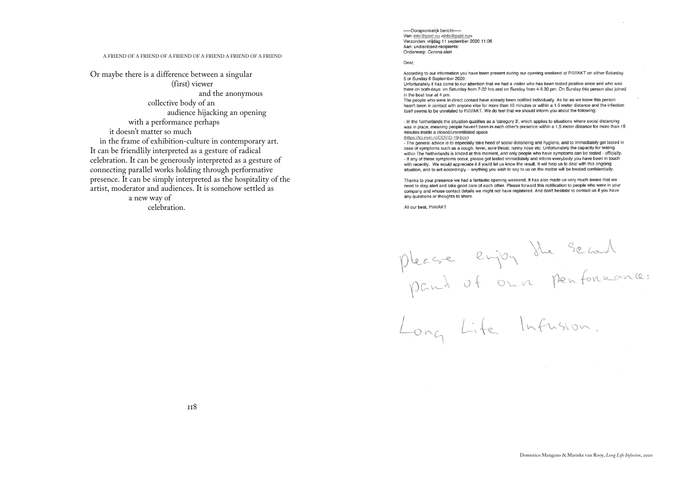# A FRIEND OF A FRIEND OF A FRIEND OF A FRIEND A FRIEND OF A FRIEND NAME ON A FRIEND NAME OF A FRIEND OF A FRIEND OF A FRIEND OF A FRIEND OF A FRIEND OF A FRIEND OF A FRIEND OF A FRIEND OF A FRIEND OF A FRIEND OF A FRIEND OF

Or maybe there is a difference between a singular

(first) viewer and the anonymous collective body of an audience hijacking an opening with a performance perhaps it doesn't matter so much in the frame of exhibition-culture in contemporary art. It can be friendlily interpreted as a gesture of radical celebration. It can be generously interpreted as a gesture of connecting parallel works holding through performative presence. It can be simply interpreted as the hospitality of the artist, moderator and audiences. It is somehow settled as a new way of

celebration.

----- Oorspronkelijk bericht----Van: info@pakt.nu <info@pakt.nu> Verzonden: vrijdag 11 september 2020 11:06 Aan: undisclosed-recipients: Onderwerp: Corona alert

According to our information you have been present during our opening weekend at P/////AKT on either Saturday 5 or Sunday 6 September 2020

Unfortunately it has come to our attention that we had a visitor who has been tested positive since and who was there on both days: on Saturday from 7-22 hrs and on Sunday from 4-5.30 pm. On Sunday this person also joined in the boat tour at 4 pm.

The people who were in direct contact have already been notified individually. As far as we know this person hasn't been in contact with anyone else for more than 10 minutes or within a 1.5 meter distance and the infection itself seems to be unrelated to PIIIIIAKT. We do feel that we should inform you about the following:

- In the Netherlands the situation qualifies as a 'category 3', which applies to situations where social distancing was in place, meaning people haven't been in each other's presence within a 1,5 meter distance for more than 15 minutes inside a closed/unventilated space

(https://lci.rivm.nl/COVID-19-bco)

- The general advice is to especially take heed of social distancing and hygiene, and to immediately get tested in case of symptoms such as a cough, fever, sore throat, runny nose etc. Unfortunately the capacity for testing within The Netherlands is limited at this moment, and only people who have symptoms can be tested - officially. - If any of these symptoms occur, please get tested immediately and inform everybody you have been in touch with recently. We would appreciate it if you'd let us know the result. It will help us to deal with this ongoing situation, and to act accordingly - anything you wish to say to us on the matter will be treated confidentially.

Thanks to your presence we had a fantastic opening weekend. It has also made us very much aware that we need to stay alert and take good care of each other. Please forward this notification to people who were in your company and whose contact details we might not have registered. And don't hesitate to contact us if you have any questions or thoughts to share.

All our best, P////AKT

please enjoy the second<br>pant of our penformance:<br>Long Life, Infusion.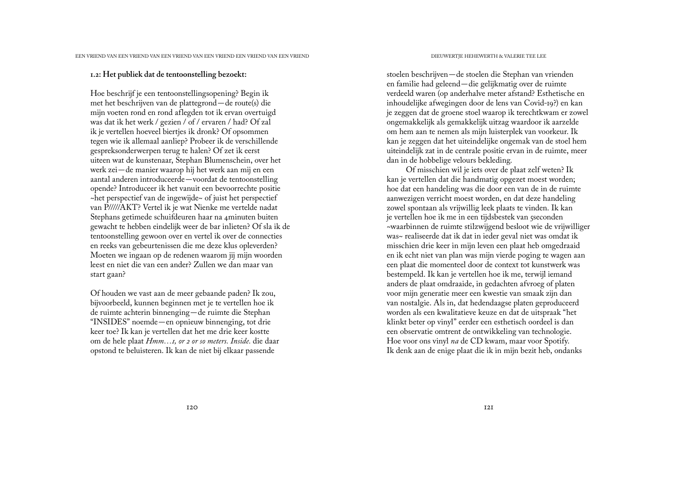### **1.2: Het publiek dat de tentoonstelling bezoekt:**

Hoe beschrijf je een tentoonstellingsopening? Begin ik met het beschrijven van de plattegrond—de route(s) die mijn voeten rond en rond aflegden tot ik ervan overtuigd was dat ik het werk / gezien / of / ervaren / had? Of zal ik je vertellen hoeveel biertjes ik dronk? Of opsommen tegen wie ik allemaal aanliep? Probeer ik de verschillende gespreksonderwerpen terug te halen? Of zet ik eerst uiteen wat de kunstenaar, Stephan Blumenschein, over het werk zei—de manier waarop hij het werk aan mij en een aantal anderen introduceerde—voordat de tentoonstelling opende? Introduceer ik het vanuit een bevoorrechte positie ~het perspectief van de ingewijde~ of juist het perspectief van P/////AKT? Vertel ik je wat Nienke me vertelde nadat Stephans getimede schuifdeuren haar na 4minuten buiten gewacht te hebben eindelijk weer de bar inlieten? Of sla ik de tentoonstelling gewoon over en vertel ik over de connecties en reeks van gebeurtenissen die me deze klus opleverden? Moeten we ingaan op de redenen waarom jij mijn woorden leest en niet die van een ander? Zullen we dan maar van start gaan?

Of houden we vast aan de meer gebaande paden? Ik zou, bijvoorbeeld, kunnen beginnen met je te vertellen hoe ik de ruimte achterin binnenging—de ruimte die Stephan "INSIDES" noemde—en opnieuw binnenging, tot drie keer toe? Ik kan je vertellen dat het me drie keer kostte om de hele plaat *Hmm…1, or 2 or so meters. Inside.* die daar opstond te beluisteren. Ik kan de niet bij elkaar passende

stoelen beschrijven—de stoelen die Stephan van vrienden en familie had geleend—die gelijkmatig over de ruimte verdeeld waren (op anderhalve meter afstand? Esthetische en inhoudelijke afwegingen door de lens van Covid-19?) en kan je zeggen dat de groene stoel waarop ik terechtkwam er zowel ongemakkelijk als gemakkelijk uitzag waardoor ik aarzelde om hem aan te nemen als mijn luisterplek van voorkeur. Ik kan je zeggen dat het uiteindelijke ongemak van de stoel hem uiteindelijk zat in de centrale positie ervan in de ruimte, meer dan in de hobbelige velours bekleding.

Of misschien wil je iets over de plaat zelf weten? Ik kan je vertellen dat die handmatig opgezet moest worden; hoe dat een handeling was die door een van de in de ruimte aanwezigen verricht moest worden, en dat deze handeling zowel spontaan als vrijwillig leek plaats te vinden. Ik kan je vertellen hoe ik me in een tijdsbestek van 5seconden ~waarbinnen de ruimte stilzwijgend besloot wie de vrijwilliger was~ realiseerde dat ik dat in ieder geval niet was omdat ik misschien drie keer in mijn leven een plaat heb omgedraaid en ik echt niet van plan was mijn vierde poging te wagen aan een plaat die momenteel door de context tot kunstwerk was bestempeld. Ik kan je vertellen hoe ik me, terwijl iemand anders de plaat omdraaide, in gedachten afvroeg of platen voor mijn generatie meer een kwestie van smaak zijn dan van nostalgie. Als in, dat hedendaagse platen geproduceerd worden als een kwalitatieve keuze en dat de uitspraak "het klinkt beter op vinyl" eerder een esthetisch oordeel is dan een observatie omtrent de ontwikkeling van technologie. Hoe voor ons vinyl *na* de CD kwam, maar voor Spotify. Ik denk aan de enige plaat die ik in mijn bezit heb, ondanks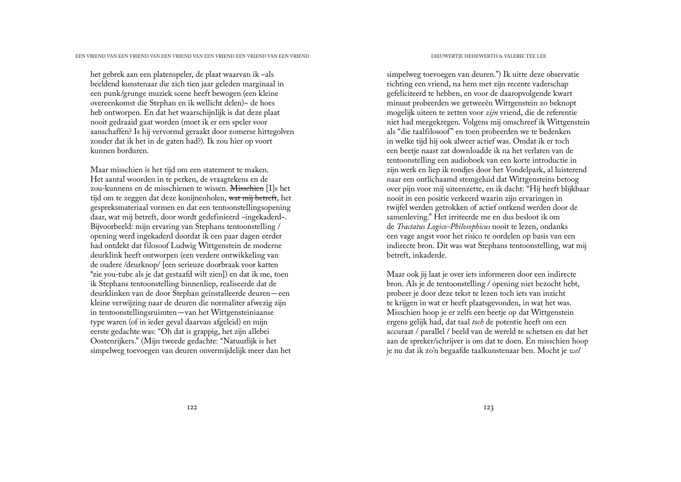het gebrek aan een platenspeler, de plaat waarvan ik ~als beeldend kunstenaar die zich tien jaar geleden marginaal in een punk/grunge muziek scene heeft bewogen (een kleine overeenkomst die Stephan en ik wellicht delen)~ de hoes heb ontworpen. En dat het waarschijnlijk is dat deze plaat nooit gedraaid gaat worden (moet ik er een speler voor aanschaffen? Is hij vervormd geraakt door zomerse hittegolven zonder dat ik het in de gaten had?). Ik zou hier op voort kunnen borduren.

Maar misschien is het tijd om een statement te maken. Het aantal woorden in te perken, de vraagtekens en de zou-kunnens en de misschienen te wissen. Misschien [I]s het tijd om te zeggen dat deze konijnenholen, wat mij betreft, het gespreksmateriaal vormen en dat een tentoonstellingsopening daar, wat mij betreft, door wordt gedefinieerd ~ingekaderd~. Bijvoorbeeld: mijn ervaring van Stephans tentoonstelling / opening werd ingekaderd doordat ik een paar dagen eerder had ontdekt dat filosoof Ludwig Wittgenstein de moderne deurklink heeft ontworpen (een verdere ontwikkeling van de oudere /deurknop/ [een serieuze doorbraak voor katten \*zie you-tube als je dat gestaafd wilt zien]) en dat ik me, toen ik Stephans tentoonstelling binnenliep, realiseerde dat de deurklinken van de door Stephan geïnstalleerde deuren—een kleine verwijzing naar de deuren die normaliter afwezig zijn in tentoonstellingsruimten—van het Wittgensteiniaanse type waren (of in ieder geval daarvan afgeleid) en mijn eerste gedachte was: "Oh dat is grappig, het zijn allebei Oostenrijkers." (Mijn tweede gedachte: "Natuurlijk is het simpelweg toevoegen van deuren onvermijdelijk meer dan het

simpelweg toevoegen van deuren.") Ik uitte deze observatie richting een vriend, na hem met zijn recente vaderschap gefeliciteerd te hebben, en voor de daaropvolgende kwart minuut probeerden we getweeën Wittgenstein zo beknopt mogelijk uiteen te zetten voor *zijn* vriend, die de referentie niet had meegekregen. Volgens mij omschreef ik Wittgenstein als "die taalfilosoof" en toen probeerden we te bedenken in welke tijd hij ook alweer actief was. Omdat ik er toch een beetje naast zat downloadde ik na het verlaten van de tentoonstelling een audioboek van een korte introductie in zijn werk en liep ik rondjes door het Vondelpark, al luisterend naar een ontlichaamd stemgeluid dat Wittgensteins betoog over pijn voor mij uiteenzette, en ik dacht: "Hij heeft blijkbaar nooit in een positie verkeerd waarin zijn ervaringen in twijfel werden getrokken of actief ontkend werden door de samenleving." Het irriteerde me en dus besloot ik om de *Tractatus Logico-Philosophicus* nooit te lezen, ondanks een vage angst voor het risico te oordelen op basis van een indirecte bron. Dit was wat Stephans tentoonstelling, wat mij betreft, inkaderde.

Maar ook jij laat je over iets informeren door een indirecte bron. Als je de tentoonstelling / opening niet bezocht hebt, probeer je door deze tekst te lezen toch iets van inzicht te krijgen in wat er heeft plaatsgevonden, in wat het was. Misschien hoop je er zelfs een beetje op dat Wittgenstein ergens gelijk had, dat taal *toch* de potentie heeft om een accuraat / parallel / beeld van de wereld te schetsen en dat het aan de spreker/schrijver is om dat te doen. En misschien hoop je nu dat ik zo'n begaafde taalkunstenaar ben. Mocht je *wel*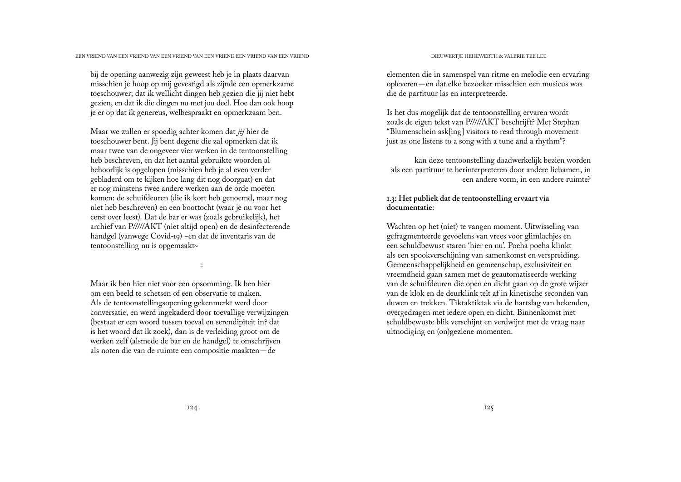bij de opening aanwezig zijn geweest heb je in plaats daarvan misschien je hoop op mij gevestigd als zijnde een opmerkzame toeschouwer; dat ik wellicht dingen heb gezien die jij niet hebt gezien, en dat ik die dingen nu met jou deel. Hoe dan ook hoop je er op dat ik genereus, welbespraakt en opmerkzaam ben.

Maar we zullen er spoedig achter komen dat *jij* hier de toeschouwer bent. Jij bent degene die zal opmerken dat ik maar twee van de ongeveer vier werken in de tentoonstelling heb beschreven, en dat het aantal gebruikte woorden al behoorlijk is opgelopen (misschien heb je al even verder gebladerd om te kijken hoe lang dit nog doorgaat) en dat er nog minstens twee andere werken aan de orde moeten komen: de schuifdeuren (die ik kort heb genoemd, maar nog niet heb beschreven) en een boottocht (waar je nu voor het eerst over leest). Dat de bar er was (zoals gebruikelijk), het archief van P/////AKT (niet altijd open) en de desinfecterende handgel (vanwege Covid-19) ~en dat de inventaris van de tentoonstelling nu is opgemaakt~

:

Maar ik ben hier niet voor een opsomming. Ik ben hier om een beeld te schetsen of een observatie te maken. Als de tentoonstellingsopening gekenmerkt werd door conversatie, en werd ingekaderd door toevallige verwijzingen (bestaat er een woord tussen toeval en serendipiteit in? dat is het woord dat ik zoek), dan is de verleiding groot om de werken zelf (alsmede de bar en de handgel) te omschrijven als noten die van de ruimte een compositie maakten—de

elementen die in samenspel van ritme en melodie een ervaring opleveren—en dat elke bezoeker misschien een musicus was die de partituur las en interpreteerde.

Is het dus mogelijk dat de tentoonstelling ervaren wordt zoals de eigen tekst van P/////AKT beschrijft? Met Stephan "Blumenschein ask[ing] visitors to read through movement just as one listens to a song with a tune and a rhythm"?

kan deze tentoonstelling daadwerkelijk bezien worden als een partituur te herinterpreteren door andere lichamen, in een andere vorm, in een andere ruimte?

# **1.3: Het publiek dat de tentoonstelling ervaart via documentatie:**

Wachten op het (niet) te vangen moment. Uitwisseling van gefragmenteerde gevoelens van vrees voor glimlachjes en een schuldbewust staren 'hier en nu'. Poeha poeha klinkt als een spookverschijning van samenkomst en verspreiding. Gemeenschappelijkheid en gemeenschap, exclusiviteit en vreemdheid gaan samen met de geautomatiseerde werking van de schuifdeuren die open en dicht gaan op de grote wijzer van de klok en de deurklink telt af in kinetische seconden van duwen en trekken. Tiktaktiktak via de hartslag van bekenden, overgedragen met iedere open en dicht. Binnenkomst met schuldbewuste blik verschijnt en verdwijnt met de vraag naar uitnodiging en (on)geziene momenten.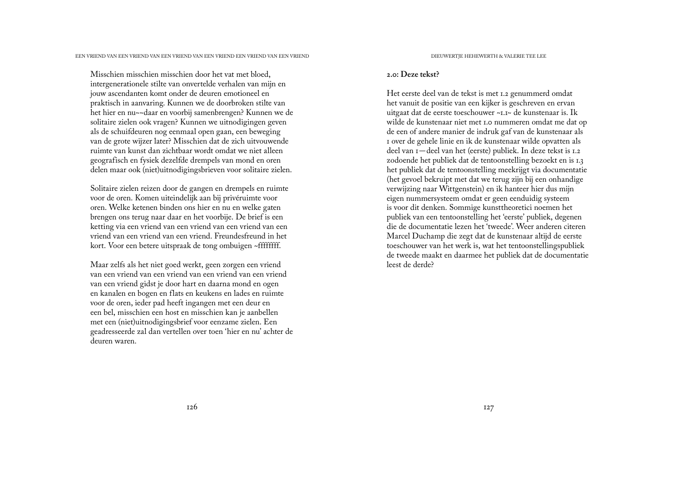Misschien misschien misschien door het vat met bloed, intergenerationele stilte van onvertelde verhalen van mijn en jouw ascendanten komt onder de deuren emotioneel en praktisch in aanvaring. Kunnen we de doorbroken stilte van het hier en nu~~daar en voorbij samenbrengen? Kunnen we de solitaire zielen ook vragen? Kunnen we uitnodigingen geven als de schuifdeuren nog eenmaal open gaan, een beweging van de grote wijzer later? Misschien dat de zich uitvouwende ruimte van kunst dan zichtbaar wordt omdat we niet alleen geografisch en fysiek dezelfde drempels van mond en oren delen maar ook (niet)uitnodigingsbrieven voor solitaire zielen.

Solitaire zielen reizen door de gangen en drempels en ruimte voor de oren. Komen uiteindelijk aan bij privéruimte voor oren. Welke ketenen binden ons hier en nu en welke gaten brengen ons terug naar daar en het voorbije. De brief is een ketting via een vriend van een vriend van een vriend van een vriend van een vriend van een vriend. Freundesfreund in het kort. Voor een betere uitspraak de tong ombuigen ~ffffffff.

Maar zelfs als het niet goed werkt, geen zorgen een vriend van een vriend van een vriend van een vriend van een vriend van een vriend gidst je door hart en daarna mond en ogen en kanalen en bogen en flats en keukens en lades en ruimte voor de oren, ieder pad heeft ingangen met een deur en een bel, misschien een host en misschien kan je aanbellen met een (niet)uitnodigingsbrief voor eenzame zielen. Een geadresseerde zal dan vertellen over toen 'hier en nu' achter de deuren waren.

### **2.0: Deze tekst?**

Het eerste deel van de tekst is met 1.2 genummerd omdat het vanuit de positie van een kijker is geschreven en ervan uitgaat dat de eerste toeschouwer ~1.1~ de kunstenaar is. Ik wilde de kunstenaar niet met 1.0 nummeren omdat me dat op de een of andere manier de indruk gaf van de kunstenaar als 1 over de gehele linie en ik de kunstenaar wilde opvatten als deel van 1—deel van het (eerste) publiek. In deze tekst is 1.2 zodoende het publiek dat de tentoonstelling bezoekt en is 1.3 het publiek dat de tentoonstelling meekrijgt via documentatie (het gevoel bekruipt met dat we terug zijn bij een onhandige verwijzing naar Wittgenstein) en ik hanteer hier dus mijn eigen nummersysteem omdat er geen eenduidig systeem is voor dit denken. Sommige kunsttheoretici noemen het publiek van een tentoonstelling het 'eerste' publiek, degenen die de documentatie lezen het 'tweede'. Weer anderen citeren Marcel Duchamp die zegt dat de kunstenaar altijd de eerste toeschouwer van het werk is, wat het tentoonstellingspubliek de tweede maakt en daarmee het publiek dat de documentatie leest de derde?